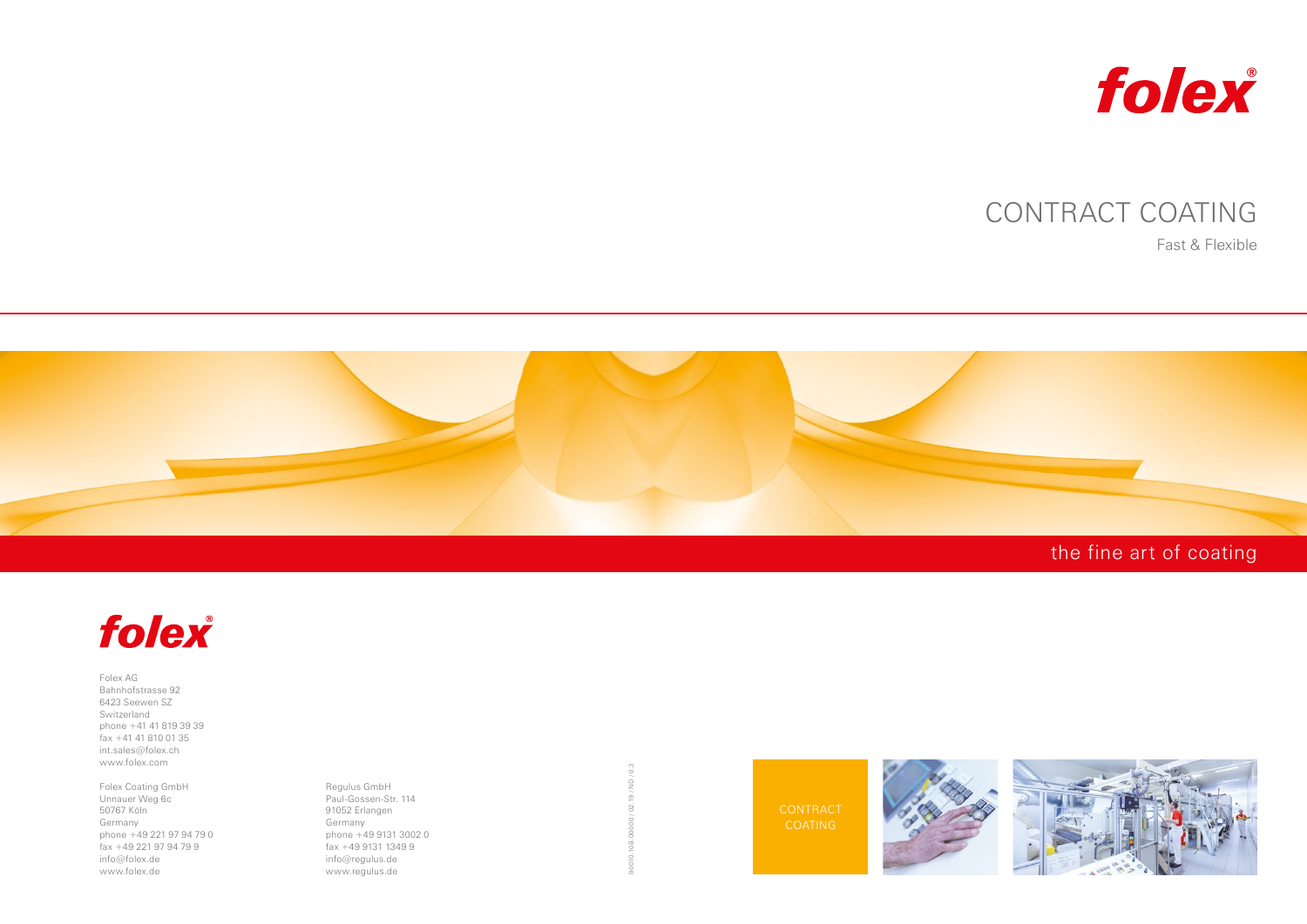# the fine art of coating



CONTRACT **COATING** 





# CONTRACT COATING

### Fast & Flexible





Folex AG Bahnhofstrasse 92 6423 Seewen SZ Switzerland phone +41 41 819 39 39 fax +41 41 810 01 35 int.sales@folex.ch www.folex.com

Folex Coating GmbH Unnauer Weg 6c 50767 Köln Germany phone +49 221 97 94 79 0 fax +49 221 97 94 79 9 info@folex.de www.folex.de

Regulus GmbH Paul-Gossen-Str. 114 91052 Erlangen Germany phone +49 9131 3002 0  $\frac{1}{6}$  fax  $+49913113499$ info@regulus.de www.regulus.de

 $\frac{3}{2}$ 90010.10B.00000 / 02.19 / ND / 0.3  $\sum_{i=1}^{n}$ 02.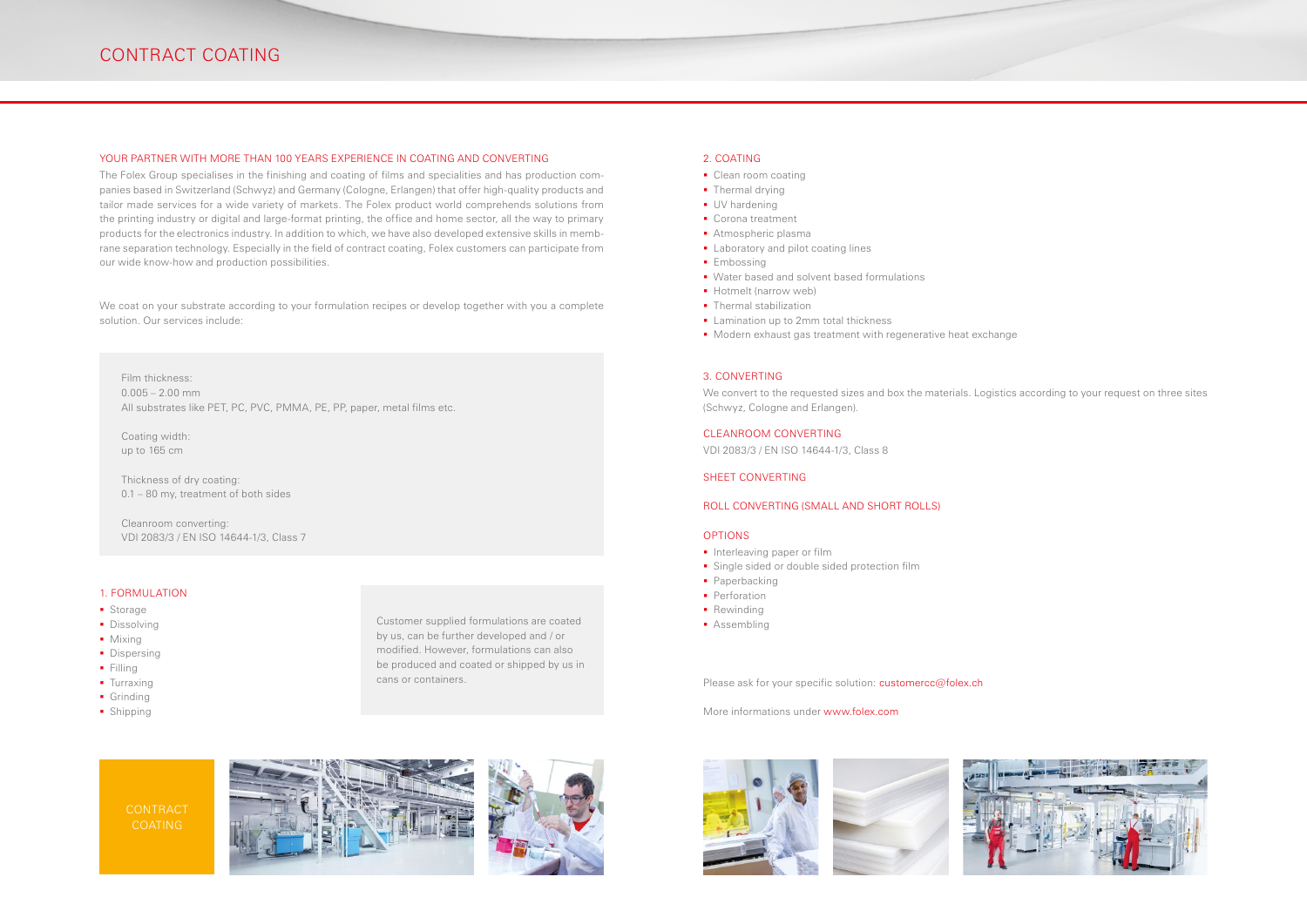











## CONTRACT COATING

#### YOUR PARTNER WITH MORE THAN 100 YEARS EXPERIENCE IN COATING AND CONVERTING

The Folex Group specialises in the finishing and coating of films and specialities and has production companies based in Switzerland (Schwyz) and Germany (Cologne, Erlangen) that offer high-quality products and tailor made services for a wide variety of markets. The Folex product world comprehends solutions from the printing industry or digital and large-format printing, the office and home sector, all the way to primary products for the electronics industry. In addition to which, we have also developed extensive skills in membrane separation technology. Especially in the field of contract coating, Folex customers can participate from our wide know-how and production possibilities.

We coat on your substrate according to your formulation recipes or develop together with you a complete solution. Our services include:

Film thickness:  $0.005 - 2.00$  mm All substrates like PET, PC, PVC, PMMA, PE, PP, paper, metal films etc.

Coating width: up to 165 cm

Thickness of dry coating: 0.1 – 80 my, treatment of both sides

Cleanroom converting: VDI 2083/3 / EN ISO 14644-1/3, Class 7

#### 1. FORMULATION

- **Storage**
- **Dissolving**
- Mixing
- Dispersing
- $Filling$
- **Turraxing**
- **Grinding**
- Shipping

#### 2. COATING

- Clean room coating
- Thermal drying
- **UV** hardening
- Corona treatment
- **Atmospheric plasma**
- **Laboratory and pilot coating lines**
- **Embossing**
- **Water based and solvent based formulations**
- **Hotmelt** (narrow web)
- Thermal stabilization
- **Lamination up to 2mm total thickness**
- **Modern exhaust gas treatment with regenerative heat exchange**

#### 3. CONVERTING

We convert to the requested sizes and box the materials. Logistics according to your request on three sites (Schwyz, Cologne and Erlangen).

#### CLEANROOM CONVERTING

VDI 2083/3 / EN ISO 14644-1/3, Class 8

#### SHEET CONVERTING

#### ROLL CONVERTING (SMALL AND SHORT ROLLS)

#### OPTIONS

- **Interleaving paper or film**
- **Single sided or double sided protection film**
- **Paperbacking**
- **Perforation**
- Rewinding
- **Assembling**

Please ask for your specific solution: customercc@folex.ch

More informations under www.folex.com

Customer supplied formulations are coated by us, can be further developed and / or modified. However, formulations can also be produced and coated or shipped by us in cans or containers.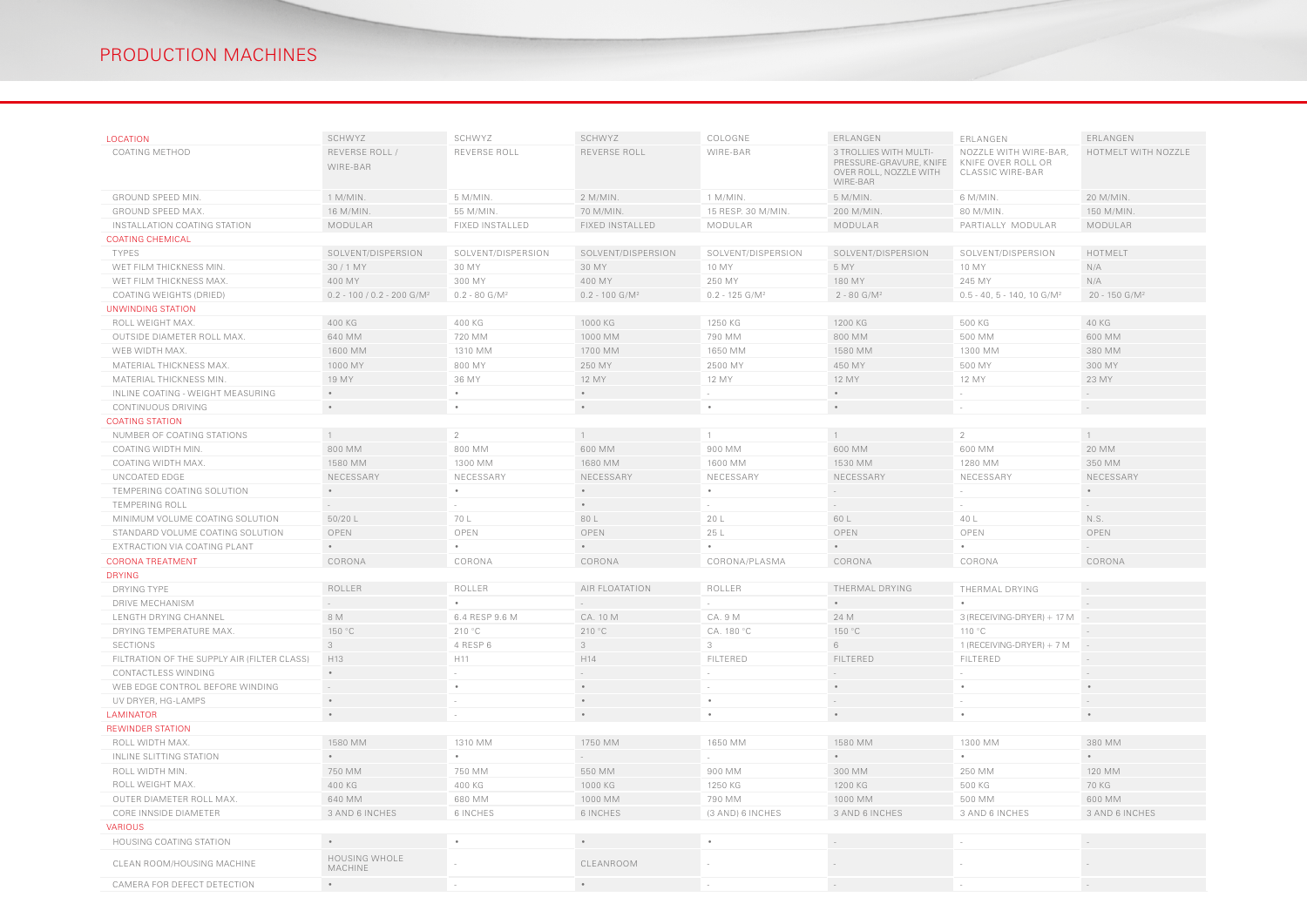| <b>LOCATION</b>                             | SCHWYZ                                                      | SCHWYZ                      | SCHWYZ                                                          | COLOGNE                      | ERLANGEN                                                                                | ERLANGEN                                                        | ERLANGEN                                                |  |
|---------------------------------------------|-------------------------------------------------------------|-----------------------------|-----------------------------------------------------------------|------------------------------|-----------------------------------------------------------------------------------------|-----------------------------------------------------------------|---------------------------------------------------------|--|
|                                             |                                                             |                             |                                                                 |                              |                                                                                         |                                                                 |                                                         |  |
| <b>COATING METHOD</b>                       | REVERSE ROLL /<br>WIRE-BAR                                  | REVERSE ROLL                | REVERSE ROLL                                                    | WIRE-BAR                     | 3 TROLLIES WITH MULTI-<br>PRESSURE-GRAVURE, KNIFE<br>OVER ROLL, NOZZLE WITH<br>WIRE-BAR | NOZZLE WITH WIRE-BAR,<br>KNIFE OVER ROLL OR<br>CLASSIC WIRE-BAR | HOTMELT WITH NOZZLE                                     |  |
| <b>GROUND SPEED MIN.</b>                    | 1 M/MIN.                                                    | 5 M/MIN.                    | $2$ M/MIN.                                                      | $1$ M/MIN.                   | 5 M/MIN.                                                                                | 6 M/MIN.                                                        | 20 M/MIN.                                               |  |
| <b>GROUND SPEED MAX.</b>                    | 16 M/MIN.                                                   | 55 M/MIN.                   | 70 M/MIN.                                                       | 15 RESP. 30 M/MIN.           | 200 M/MIN                                                                               | 80 M/MIN.                                                       | 150 M/MIN.                                              |  |
| INSTALLATION COATING STATION                | MODULAR                                                     | FIXED INSTALLED             | <b>FIXED INSTALLED</b>                                          | MODULAR                      | MODULAR                                                                                 | PARTIALLY MODULAR                                               | MODULAR                                                 |  |
| <b>COATING CHEMICAL</b>                     |                                                             |                             |                                                                 |                              |                                                                                         |                                                                 |                                                         |  |
| <b>TYPES</b>                                | SOLVENT/DISPERSION                                          | SOLVENT/DISPERSION          | SOLVENT/DISPERSION                                              | SOLVENT/DISPERSION           | SOLVENT/DISPERSION                                                                      | SOLVENT/DISPERSION                                              | HOTMELT                                                 |  |
| WET FILM THICKNESS MIN.                     | 30/1 MY                                                     | 30 MY                       | 30 MY                                                           | 10 MY                        | 5 MY                                                                                    | 10 MY                                                           | N/A                                                     |  |
| WET FILM THICKNESS MAX.                     | 400 MY                                                      | 300 MY                      | 400 MY                                                          | 250 MY                       | 180 MY                                                                                  | 245 MY                                                          | N/A                                                     |  |
| COATING WEIGHTS (DRIED)                     | $0.2 - 100 / 0.2 - 200$ G/M <sup>2</sup>                    | $0.2 - 80$ G/M <sup>2</sup> | $0.2 - 100$ G/M <sup>2</sup>                                    | $0.2 - 125$ G/M <sup>2</sup> | $2 - 80$ G/M <sup>2</sup>                                                               | $0.5 - 40, 5 - 140, 10$ G/M <sup>2</sup>                        | $20 - 150$ G/M <sup>2</sup>                             |  |
| UNWINDING STATION                           |                                                             |                             |                                                                 |                              |                                                                                         |                                                                 |                                                         |  |
| ROLL WEIGHT MAX.                            | 400 KG                                                      | 400 KG                      | 1000 KG                                                         | 1250 KG                      | 1200 KG                                                                                 | 500 KG                                                          | 40 KG                                                   |  |
| OUTSIDE DIAMETER ROLL MAX.                  | 640 MM                                                      | 720 MM                      | 1000 MM                                                         | 790 MM                       | 800 MM                                                                                  | 500 MM                                                          | 600 MM                                                  |  |
| WEB WIDTH MAX.                              | 1600 MM                                                     | 1310 MM                     | 1700 MM                                                         | 1650 MM                      | 1580 MM                                                                                 | 1300 MM                                                         | 380 MM                                                  |  |
| MATERIAL THICKNESS MAX.                     | 1000 MY                                                     | 800 MY                      | 250 MY                                                          | 2500 MY                      | 450 MY                                                                                  | 500 MY                                                          | 300 MY                                                  |  |
| MATERIAL THICKNESS MIN.                     | 19 MY                                                       | 36 MY                       | 12 MY                                                           | 12 MY                        | 12 MY                                                                                   | 12 MY                                                           | 23 MY                                                   |  |
| INLINE COATING - WEIGHT MEASURING           | $\bullet$                                                   | $\bullet$                   | $\bullet$                                                       |                              | $\bullet$                                                                               |                                                                 |                                                         |  |
| CONTINUOUS DRIVING                          | $\bullet$                                                   | $\bullet$                   | $\bullet$                                                       |                              | $\bullet$                                                                               |                                                                 |                                                         |  |
| <b>COATING STATION</b>                      |                                                             |                             |                                                                 |                              |                                                                                         |                                                                 |                                                         |  |
| NUMBER OF COATING STATIONS                  | $\overline{1}$                                              | 2                           | $\overline{1}$                                                  |                              | $\overline{1}$                                                                          | 2                                                               | $\overline{1}$                                          |  |
| COATING WIDTH MIN.                          | 800 MM                                                      | 800 MM                      | 600 MM                                                          | 900 MM                       | 600 MM                                                                                  | 600 MM                                                          | 20 MM                                                   |  |
| COATING WIDTH MAX.                          | 1580 MM                                                     | 1300 MM                     | 1680 MM                                                         | 1600 MM                      | 1530 MM                                                                                 | 1280 MM                                                         | 350 MM                                                  |  |
| UNCOATED EDGE                               | NECESSARY                                                   | NECESSARY                   | NECESSARY                                                       | NECESSARY                    | NECESSARY                                                                               | NECESSARY                                                       | NECESSARY                                               |  |
| TEMPERING COATING SOLUTION                  | $\bullet$                                                   | $\bullet$                   | $\bullet$                                                       | $\bullet$                    |                                                                                         |                                                                 |                                                         |  |
| <b>TEMPERING ROLL</b>                       |                                                             |                             | $\bullet$                                                       |                              |                                                                                         |                                                                 |                                                         |  |
| MINIMUM VOLUME COATING SOLUTION             | 50/20 L                                                     | 70 L                        | 80 L                                                            | 20 L                         | 60 L                                                                                    | 40 L                                                            | N.S.                                                    |  |
| STANDARD VOLUME COATING SOLUTION            | OPEN                                                        | OPEN                        | OPEN                                                            | 25 L                         | OPEN                                                                                    | OPEN                                                            | OPEN                                                    |  |
| EXTRACTION VIA COATING PLANT                |                                                             | $\bullet$                   | $\bullet$                                                       | $\bullet$                    | $\bullet$                                                                               |                                                                 |                                                         |  |
| <b>CORONA TREATMENT</b>                     | CORONA                                                      | CORONA                      | CORONA                                                          | CORONA/PLASMA                | CORONA                                                                                  | CORONA                                                          | CORONA                                                  |  |
| <b>DRYING</b>                               |                                                             |                             |                                                                 |                              |                                                                                         |                                                                 |                                                         |  |
| DRYING TYPE                                 | ROLLER                                                      | ROLLER                      | AIR FLOATATION                                                  | ROLLER                       | THERMAL DRYING                                                                          | THERMAL DRYING                                                  |                                                         |  |
| <b>DRIVE MECHANISM</b>                      |                                                             |                             |                                                                 |                              |                                                                                         |                                                                 |                                                         |  |
| LENGTH DRYING CHANNEL                       | 8 M                                                         | 6.4 RESP 9.6 M              | CA. 10 M                                                        | CA. 9 M                      | 24 M                                                                                    | 3 (RECEIVING-DRYER) + 17 M                                      |                                                         |  |
| DRYING TEMPERATURE MAX.                     | 150 °C                                                      | 210 °C                      | 210 °C                                                          | CA. 180 °C                   | 150 °C                                                                                  | 110 °C                                                          |                                                         |  |
| SECTIONS                                    | 3                                                           | 4 RESP 6                    | 3                                                               | 3                            | 6                                                                                       | $1$ (RECEIVING-DRYER) + 7 M                                     |                                                         |  |
| FILTRATION OF THE SUPPLY AIR (FILTER CLASS) | H13                                                         | H11                         | H14                                                             | FILTERED                     | FILTERED                                                                                | FILTERED                                                        |                                                         |  |
| CONTACTLESS WINDING                         |                                                             |                             |                                                                 |                              |                                                                                         |                                                                 |                                                         |  |
| WEB EDGE CONTROL BEFORE WINDING             |                                                             | $\bullet$                   | $\bullet$                                                       |                              |                                                                                         |                                                                 |                                                         |  |
| UV DRYER, HG-LAMPS                          | $\bullet$                                                   |                             | $\bullet$                                                       | $\bullet$                    |                                                                                         |                                                                 |                                                         |  |
| <b>LAMINATOR</b>                            | $\bullet$                                                   |                             | $\bullet$                                                       | $\bullet$                    | $\bullet$                                                                               | $\bullet$                                                       | $\bullet$                                               |  |
| <b>REWINDER STATION</b>                     |                                                             |                             |                                                                 |                              |                                                                                         |                                                                 |                                                         |  |
| ROLL WIDTH MAX.                             | 1580 MM                                                     | 1310 MM                     | 1750 MM                                                         | 1650 MM                      | 1580 MM                                                                                 | 1300 MM                                                         | 380 MM                                                  |  |
| INLINE SLITTING STATION                     | $\bullet$ .<br><br><br><br><br><br><br><br><br><br><br><br> |                             |                                                                 |                              | $\bullet$ .                                                                             |                                                                 | $\bullet$ .<br><br><br><br><br><br><br><br><br><br><br> |  |
| ROLL WIDTH MIN.                             | 750 MM                                                      | 750 MM                      | 550 MM                                                          | 900 MM                       | 300 MM                                                                                  | 250 MM                                                          | 120 MM                                                  |  |
| ROLL WEIGHT MAX.                            | 400 KG                                                      | 400 KG                      | 1000 KG                                                         | 1250 KG                      | 1200 KG                                                                                 | 500 KG                                                          | 70 KG                                                   |  |
| OUTER DIAMETER ROLL MAX.                    | 640 MM                                                      | 680 MM                      | 1000 MM                                                         | 790 MM                       | 1000 MM                                                                                 | 500 MM                                                          | 600 MM                                                  |  |
| CORE INNSIDE DIAMETER                       | 3 AND 6 INCHES                                              | 6 INCHES                    | 6 INCHES                                                        | (3 AND) 6 INCHES             | 3 AND 6 INCHES                                                                          | 3 AND 6 INCHES                                                  | 3 AND 6 INCHES                                          |  |
| VARIOUS                                     |                                                             |                             |                                                                 |                              |                                                                                         |                                                                 |                                                         |  |
| HOUSING COATING STATION                     |                                                             | $\bullet$                   | $\bullet$                                                       | $\bullet$                    |                                                                                         |                                                                 |                                                         |  |
| CLEAN ROOM/HOUSING MACHINE                  | HOUSING WHOLE<br>MACHINE                                    |                             | CLEANROOM                                                       |                              |                                                                                         |                                                                 |                                                         |  |
| CAMERA FOR DEFECT DETECTION                 | $\bullet$ .<br><br><br><br><br><br><br><br><br><br><br><br> |                             | $\bullet$ .<br><br><br><br><br><br><br><br><br><br><br><br><br> |                              |                                                                                         |                                                                 |                                                         |  |

# PRODUCTION MACHINES